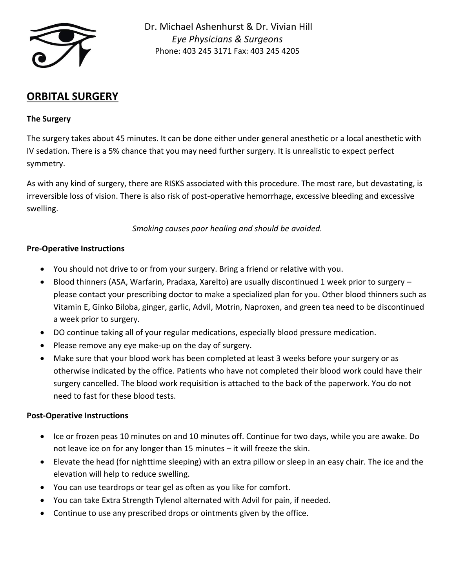

Dr. Michael Ashenhurst & Dr. Vivian Hill *Eye Physicians & Surgeons* Phone: 403 245 3171 Fax: 403 245 4205

# **ORBITAL SURGERY**

## **The Surgery**

The surgery takes about 45 minutes. It can be done either under general anesthetic or a local anesthetic with IV sedation. There is a 5% chance that you may need further surgery. It is unrealistic to expect perfect symmetry.

As with any kind of surgery, there are RISKS associated with this procedure. The most rare, but devastating, is irreversible loss of vision. There is also risk of post-operative hemorrhage, excessive bleeding and excessive swelling.

*Smoking causes poor healing and should be avoided.*

### **Pre-Operative Instructions**

- You should not drive to or from your surgery. Bring a friend or relative with you.
- Blood thinners (ASA, Warfarin, Pradaxa, Xarelto) are usually discontinued 1 week prior to surgery please contact your prescribing doctor to make a specialized plan for you. Other blood thinners such as Vitamin E, Ginko Biloba, ginger, garlic, Advil, Motrin, Naproxen, and green tea need to be discontinued a week prior to surgery.
- DO continue taking all of your regular medications, especially blood pressure medication.
- Please remove any eye make-up on the day of surgery.
- Make sure that your blood work has been completed at least 3 weeks before your surgery or as otherwise indicated by the office. Patients who have not completed their blood work could have their surgery cancelled. The blood work requisition is attached to the back of the paperwork. You do not need to fast for these blood tests.

### **Post-Operative Instructions**

- Ice or frozen peas 10 minutes on and 10 minutes off. Continue for two days, while you are awake. Do not leave ice on for any longer than 15 minutes – it will freeze the skin.
- Elevate the head (for nighttime sleeping) with an extra pillow or sleep in an easy chair. The ice and the elevation will help to reduce swelling.
- You can use teardrops or tear gel as often as you like for comfort.
- You can take Extra Strength Tylenol alternated with Advil for pain, if needed.
- Continue to use any prescribed drops or ointments given by the office.